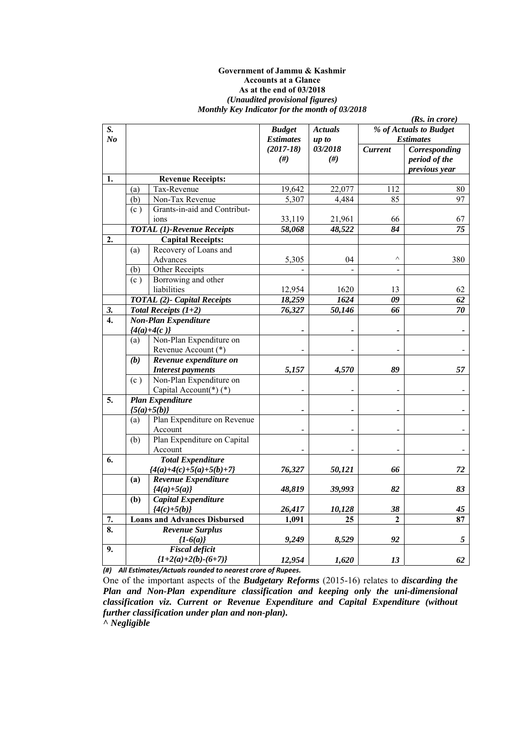#### **Government of Jammu & Kashmir Accounts at a Glance As at the end of 03/2018**  *(Unaudited provisional figures) Monthly Key Indicator for the month of 03/2018*

|                      |     |                                          |                                   |                         |                | (Rs. in <i>core</i> )                                  |
|----------------------|-----|------------------------------------------|-----------------------------------|-------------------------|----------------|--------------------------------------------------------|
| S.<br>N <sub>o</sub> |     |                                          | <b>Budget</b><br><b>Estimates</b> | <b>Actuals</b><br>up to |                | % of Actuals to Budget<br><b>Estimates</b>             |
|                      |     |                                          | $(2017-18)$<br>#)                 | 03/2018<br>#)           | <b>Current</b> | <b>Corresponding</b><br>period of the<br>previous year |
| 1.                   |     | <b>Revenue Receipts:</b>                 |                                   |                         |                |                                                        |
|                      | (a) | Tax-Revenue                              | 19,642                            | 22,077                  | 112            | 80                                                     |
|                      | (b) | Non-Tax Revenue                          | 5,307                             | 4,484                   | 85             | 97                                                     |
|                      | (c) | Grants-in-aid and Contribut-             |                                   |                         |                |                                                        |
|                      |     | ions                                     | 33,119                            | 21,961                  | 66             | 67                                                     |
|                      |     | <b>TOTAL</b> (1)-Revenue Receipts        | 58,068                            | 48,522                  | 84             | 75                                                     |
| 2.                   |     | <b>Capital Receipts:</b>                 |                                   |                         |                |                                                        |
|                      | (a) | Recovery of Loans and                    |                                   |                         |                |                                                        |
|                      |     | Advances                                 | 5,305                             | 04                      | $\wedge$       | 380                                                    |
|                      | (b) | Other Receipts                           |                                   |                         |                |                                                        |
|                      | (c) | Borrowing and other                      |                                   |                         |                |                                                        |
|                      |     | liabilities                              | 12,954                            | 1620                    | 13             | 62                                                     |
|                      |     | <b>TOTAL</b> (2)- Capital Receipts       | 18,259                            | 1624                    | 09             | 62                                                     |
| 3.                   |     | <b>Total Receipts <math>(1+2)</math></b> | 76,327                            | 50,146                  | 66             | 70                                                     |
| $\overline{4}$ .     |     | <b>Non-Plan Expenditure</b>              |                                   |                         |                |                                                        |
|                      |     | ${4(a)+4(c)}$                            |                                   |                         |                |                                                        |
|                      | (a) | Non-Plan Expenditure on                  |                                   |                         |                |                                                        |
|                      |     | Revenue Account (*)                      |                                   |                         |                |                                                        |
|                      | (b) | Revenue expenditure on                   |                                   |                         |                |                                                        |
|                      |     | <b>Interest payments</b>                 | 5,157                             | 4,570                   | 89             | 57                                                     |
|                      | (c) | Non-Plan Expenditure on                  |                                   |                         |                |                                                        |
|                      |     | Capital Account(*)(*)                    |                                   |                         |                |                                                        |
| 5.                   |     | <b>Plan Expenditure</b>                  |                                   |                         |                |                                                        |
|                      |     | ${5(a)+5(b)}$                            |                                   |                         |                |                                                        |
|                      | (a) | Plan Expenditure on Revenue              |                                   |                         |                |                                                        |
|                      |     | Account                                  |                                   |                         |                |                                                        |
|                      | (b) | Plan Expenditure on Capital              |                                   |                         |                |                                                        |
|                      |     | Account                                  |                                   |                         |                |                                                        |
| 6.                   |     | <b>Total Expenditure</b>                 |                                   |                         |                |                                                        |
|                      |     | ${4(a)+4(c)+5(a)+5(b)+7}$                | 76,327                            | 50,121                  | 66             | 72                                                     |
|                      | (a) | Revenue Expenditure                      |                                   |                         |                |                                                        |
|                      |     | ${4(a)+5(a)}$                            | 48,819                            | 39,993                  | 82             | 83                                                     |
|                      | (b) | Capital Expenditure                      |                                   |                         |                |                                                        |
|                      |     | ${4(c)+5(b)}$                            | 26,417                            | 10,128                  | 38             | 45                                                     |
| 7.                   |     | <b>Loans and Advances Disbursed</b>      | 1,091                             | 25                      | $\mathbf{2}$   | 87                                                     |
| 8.                   |     | <b>Revenue Surplus</b>                   |                                   |                         |                |                                                        |
|                      |     | ${1-6(a)}$                               | 9,249                             | 8,529                   | 92             | 5                                                      |
| 9.                   |     | <b>Fiscal</b> deficit                    |                                   |                         |                |                                                        |
|                      |     | ${1+2(a)+2(b)-(6+7)}$                    | 12,954                            | 1,620                   | 13             | 62                                                     |

*(#) All Estimates/Actuals rounded to nearest crore of Rupees.*

One of the important aspects of the *Budgetary Reforms* (2015-16) relates to *discarding the Plan and Non-Plan expenditure classification and keeping only the uni-dimensional classification viz. Current or Revenue Expenditure and Capital Expenditure (without further classification under plan and non-plan). ^ Negligible*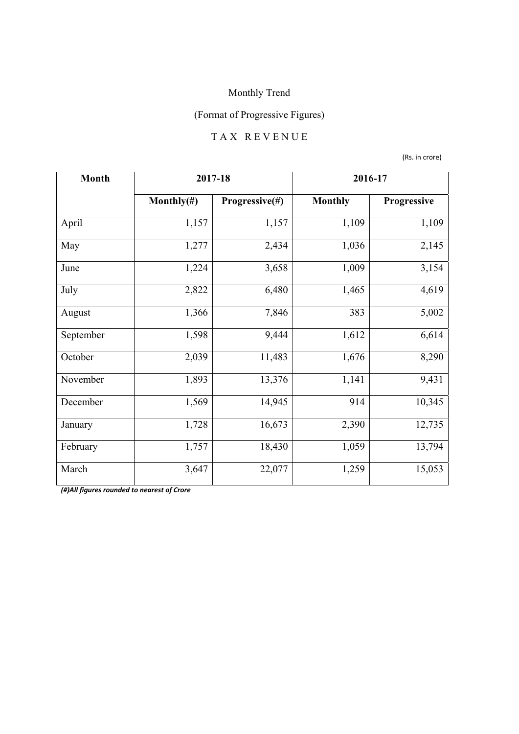## (Format of Progressive Figures)

### T A X R E V E N U E

(Rs. in crore)

| <b>Month</b> |                | 2017-18        | 2016-17        |             |
|--------------|----------------|----------------|----------------|-------------|
|              | Monthly $(\#)$ | Progressive(#) | <b>Monthly</b> | Progressive |
| April        | 1,157          | 1,157          | 1,109          | 1,109       |
| May          | 1,277          | 2,434          | 1,036          | 2,145       |
| June         | 1,224          | 3,658          | 1,009          | 3,154       |
| July         | 2,822          | 6,480          | 1,465          | 4,619       |
| August       | 1,366          | 7,846          | 383            | 5,002       |
| September    | 1,598          | 9,444          | 1,612          | 6,614       |
| October      | 2,039          | 11,483         | 1,676          | 8,290       |
| November     | 1,893          | 13,376         | 1,141          | 9,431       |
| December     | 1,569          | 14,945         | 914            | 10,345      |
| January      | 1,728          | 16,673         | 2,390          | 12,735      |
| February     | 1,757          | 18,430         | 1,059          | 13,794      |
| March        | 3,647          | 22,077         | 1,259          | 15,053      |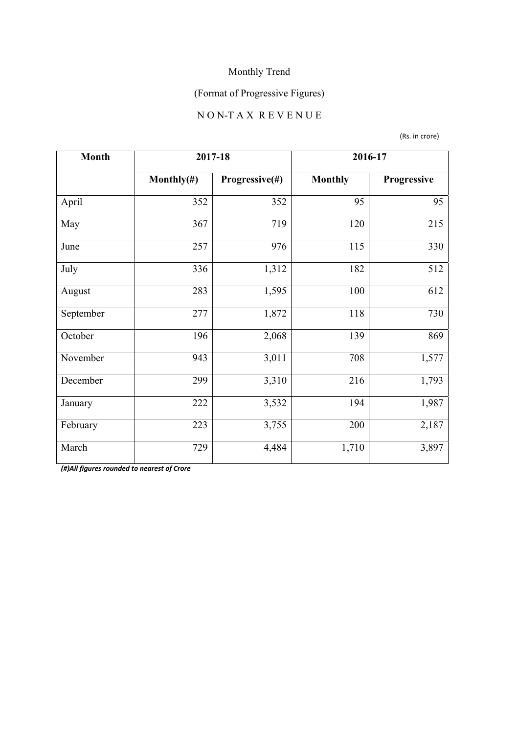## (Format of Progressive Figures)

# N O N-T A X R E V E N U E

(Rs. in crore)

| <b>Month</b> | 2017-18        |                | 2016-17        |             |
|--------------|----------------|----------------|----------------|-------------|
|              | Monthly $(\#)$ | Progressive(#) | <b>Monthly</b> | Progressive |
| April        | 352            | 352            | 95             | 95          |
| May          | 367            | 719            | 120            | 215         |
| June         | 257            | 976            | 115            | 330         |
| July         | 336            | 1,312          | 182            | 512         |
| August       | 283            | 1,595          | 100            | 612         |
| September    | 277            | 1,872          | 118            | 730         |
| October      | 196            | 2,068          | 139            | 869         |
| November     | 943            | 3,011          | 708            | 1,577       |
| December     | 299            | 3,310          | 216            | 1,793       |
| January      | 222            | 3,532          | 194            | 1,987       |
| February     | 223            | 3,755          | 200            | 2,187       |
| March        | 729            | 4,484          | 1,710          | 3,897       |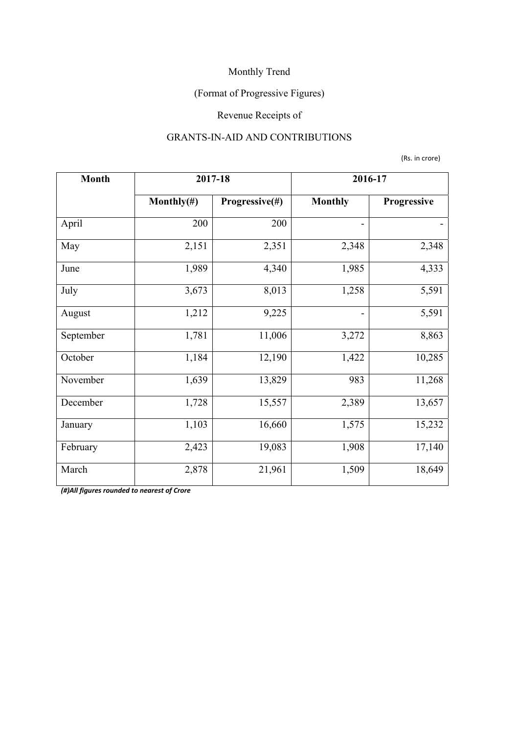## (Format of Progressive Figures)

## Revenue Receipts of

### GRANTS-IN-AID AND CONTRIBUTIONS

(Rs. in crore)

| <b>Month</b> | 2017-18        |                | 2016-17                  |             |
|--------------|----------------|----------------|--------------------------|-------------|
|              | Monthly $(\#)$ | Progressive(#) | <b>Monthly</b>           | Progressive |
| April        | 200            | 200            | $\overline{\phantom{a}}$ |             |
| May          | 2,151          | 2,351          | 2,348                    | 2,348       |
| June         | 1,989          | 4,340          | 1,985                    | 4,333       |
| July         | 3,673          | 8,013          | 1,258                    | 5,591       |
| August       | 1,212          | 9,225          |                          | 5,591       |
| September    | 1,781          | 11,006         | 3,272                    | 8,863       |
| October      | 1,184          | 12,190         | 1,422                    | 10,285      |
| November     | 1,639          | 13,829         | 983                      | 11,268      |
| December     | 1,728          | 15,557         | 2,389                    | 13,657      |
| January      | 1,103          | 16,660         | 1,575                    | 15,232      |
| February     | 2,423          | 19,083         | 1,908                    | 17,140      |
| March        | 2,878          | 21,961         | 1,509                    | 18,649      |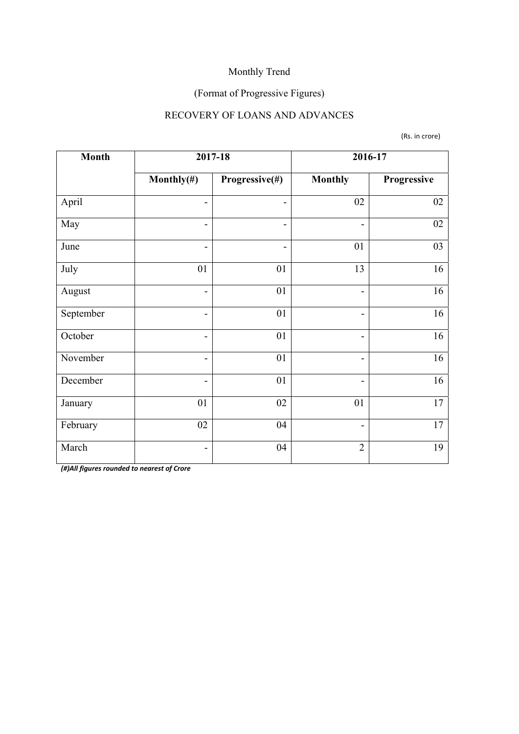## (Format of Progressive Figures)

## RECOVERY OF LOANS AND ADVANCES

(Rs. in crore)

| <b>Month</b> | 2017-18                      |                          |                          | 2016-17     |
|--------------|------------------------------|--------------------------|--------------------------|-------------|
|              | Monthly $(\#)$               | Progressive(#)           | <b>Monthly</b>           | Progressive |
| April        | $\overline{\phantom{0}}$     | $\qquad \qquad$          | 02                       | 02          |
| May          | $\overline{a}$               | $\overline{\phantom{0}}$ | $\overline{\phantom{a}}$ | 02          |
| June         | $\overline{\phantom{a}}$     | $\overline{\phantom{a}}$ | 01                       | 03          |
| July         | 01                           | 01                       | 13                       | 16          |
| August       | $\overline{\phantom{0}}$     | 01                       | $\overline{\phantom{a}}$ | 16          |
| September    | $\qquad \qquad$              | 01                       | $\overline{\phantom{a}}$ | 16          |
| October      | $\overline{\phantom{a}}$     | 01                       | $\overline{\phantom{a}}$ | 16          |
| November     | $\qquad \qquad$              | 01                       | $\overline{\phantom{a}}$ | 16          |
| December     | $\overline{a}$               | 01                       |                          | 16          |
| January      | 01                           | 02                       | 01                       | 17          |
| February     | 02                           | 04                       | $\overline{\phantom{a}}$ | 17          |
| March        | $\qquad \qquad \blacksquare$ | 04                       | $\overline{2}$           | 19          |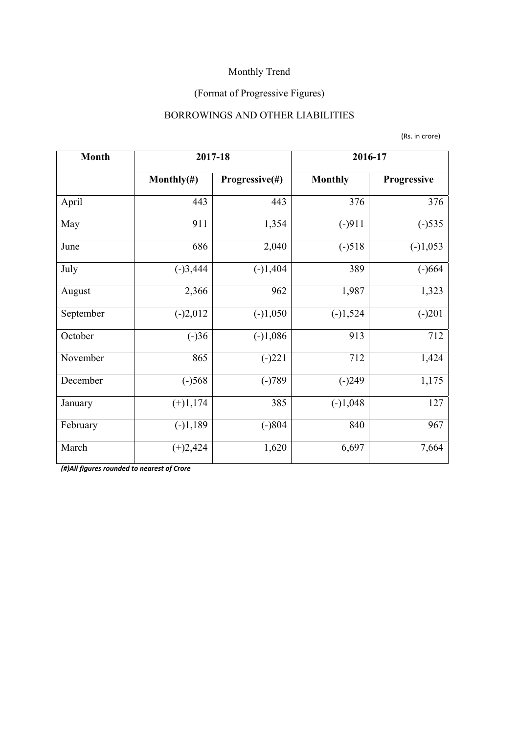## (Format of Progressive Figures)

### BORROWINGS AND OTHER LIABILITIES

(Rs. in crore)

| <b>Month</b> | 2017-18        |                | 2016-17        |             |
|--------------|----------------|----------------|----------------|-------------|
|              | Monthly $(\#)$ | Progressive(#) | <b>Monthly</b> | Progressive |
| April        | 443            | 443            | 376            | 376         |
| May          | 911            | 1,354          | $(-)911$       | $(-)535$    |
| June         | 686            | 2,040          | $(-)518$       | $(-)1,053$  |
| July         | $(-)3,444$     | $(-)1,404$     | 389            | $(-)664$    |
| August       | 2,366          | 962            | 1,987          | 1,323       |
| September    | $(-)2,012$     | $(-)1,050$     | $(-)1,524$     | $(-)201$    |
| October      | $(-)36$        | $(-)1,086$     | 913            | 712         |
| November     | 865            | $(-)221$       | 712            | 1,424       |
| December     | $(-)568$       | $(-)789$       | $(-)249$       | 1,175       |
| January      | $(+)1,174$     | 385            | $(-)1,048$     | 127         |
| February     | $(-)1,189$     | $(-)804$       | 840            | 967         |
| March        | $(+)2,424$     | 1,620          | 6,697          | 7,664       |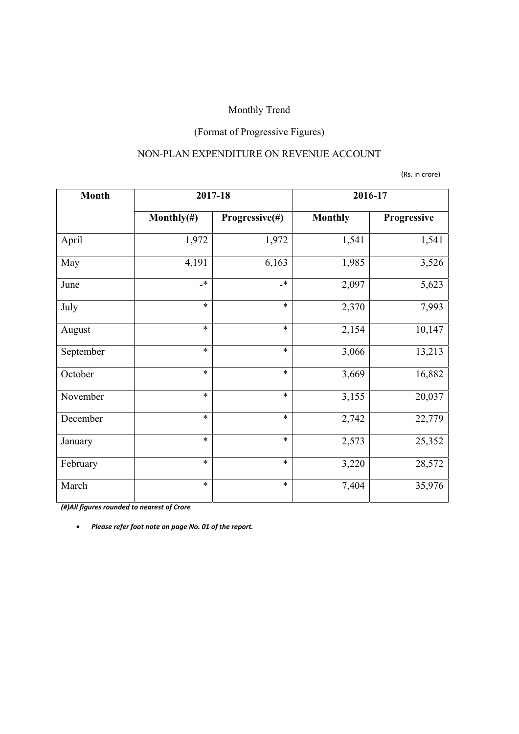## (Format of Progressive Figures)

### NON-PLAN EXPENDITURE ON REVENUE ACCOUNT

(Rs. in crore)

| <b>Month</b> | 2017-18        |                      | 2016-17        |             |
|--------------|----------------|----------------------|----------------|-------------|
|              | Monthly $(\#)$ | Progressive(#)       | <b>Monthly</b> | Progressive |
| April        | 1,972          | 1,972                | 1,541          | 1,541       |
| May          | 4,191          | 6,163                | 1,985          | 3,526       |
| June         | $\star$        | $\ddot{\phantom{1}}$ | 2,097          | 5,623       |
| July         | $\ast$         | $\ast$               | 2,370          | 7,993       |
| August       | $\ast$         | $\ast$               | 2,154          | 10,147      |
| September    | $\ast$         | $\ast$               | 3,066          | 13,213      |
| October      | $\ast$         | $\ast$               | 3,669          | 16,882      |
| November     | $\ast$         | $\ast$               | 3,155          | 20,037      |
| December     | $\ast$         | $\ast$               | 2,742          | 22,779      |
| January      | $\ast$         | $\ast$               | 2,573          | 25,352      |
| February     | $\ast$         | $\ast$               | 3,220          | 28,572      |
| March        | $\ast$         | $\ast$               | 7,404          | 35,976      |

*(#)All figures rounded to nearest of Crore*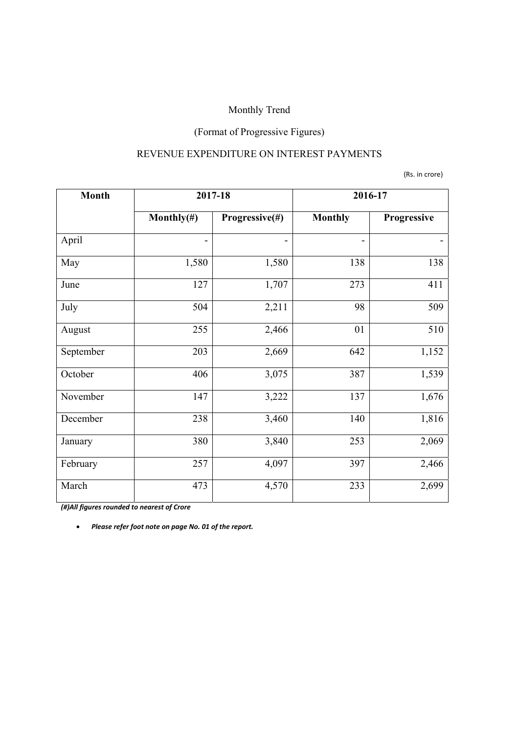## (Format of Progressive Figures)

### REVENUE EXPENDITURE ON INTEREST PAYMENTS

(Rs. in crore)

| <b>Month</b> | 2017-18                      |                | 2016-17                  |             |
|--------------|------------------------------|----------------|--------------------------|-------------|
|              | Monthly $(\#)$               | Progressive(#) | <b>Monthly</b>           | Progressive |
| April        | $\qquad \qquad \blacksquare$ |                | $\overline{\phantom{a}}$ |             |
| May          | 1,580                        | 1,580          | 138                      | 138         |
| June         | 127                          | 1,707          | 273                      | 411         |
| July         | 504                          | 2,211          | 98                       | 509         |
| August       | 255                          | 2,466          | 01                       | 510         |
| September    | 203                          | 2,669          | 642                      | 1,152       |
| October      | 406                          | 3,075          | 387                      | 1,539       |
| November     | 147                          | 3,222          | 137                      | 1,676       |
| December     | 238                          | 3,460          | 140                      | 1,816       |
| January      | 380                          | 3,840          | 253                      | 2,069       |
| February     | 257                          | 4,097          | 397                      | 2,466       |
| March        | 473                          | 4,570          | 233                      | 2,699       |

*(#)All figures rounded to nearest of Crore*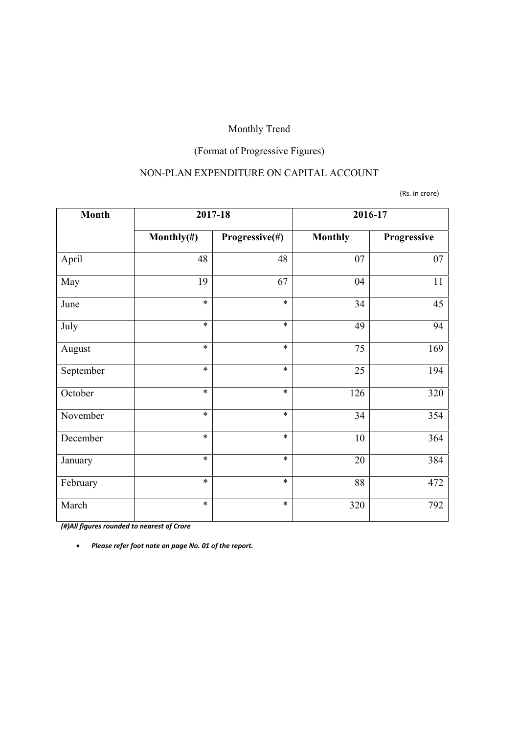## (Format of Progressive Figures)

### NON-PLAN EXPENDITURE ON CAPITAL ACCOUNT

#### (Rs. in crore)

| <b>Month</b> | 2017-18        |                | 2016-17         |             |
|--------------|----------------|----------------|-----------------|-------------|
|              | Monthly $(\#)$ | Progressive(#) | <b>Monthly</b>  | Progressive |
| April        | 48             | 48             | 07              | 07          |
| May          | 19             | 67             | 04              | 11          |
| June         | $\ast$         | $\ast$         | 34              | 45          |
| July         | $\ast$         | $\ast$         | 49              | 94          |
| August       | $\ast$         | $\ast$         | $\overline{75}$ | 169         |
| September    | $\ast$         | $\ast$         | 25              | 194         |
| October      | $\ast$         | $\ast$         | 126             | 320         |
| November     | $\ast$         | $\ast$         | 34              | 354         |
| December     | $\ast$         | $\ast$         | 10              | 364         |
| January      | $\ast$         | $\ast$         | 20              | 384         |
| February     | $\ast$         | $\ast$         | 88              | 472         |
| March        | $\ast$         | $\ast$         | 320             | 792         |

*(#)All figures rounded to nearest of Crore*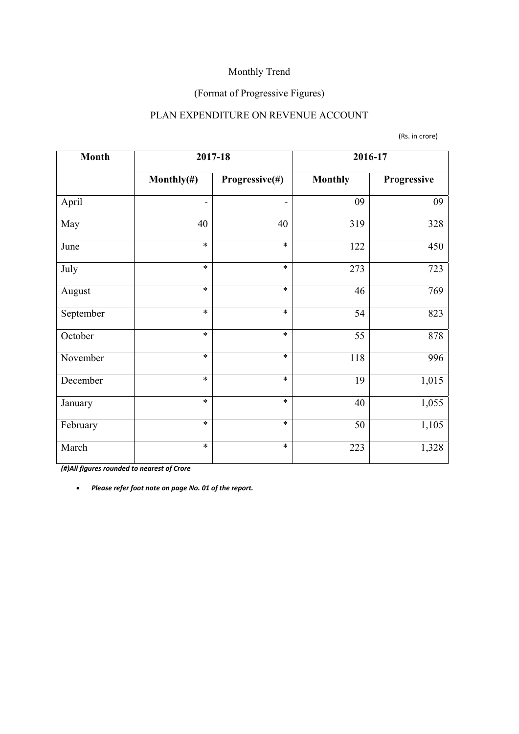## (Format of Progressive Figures)

### PLAN EXPENDITURE ON REVENUE ACCOUNT

(Rs. in crore)

| <b>Month</b> | 2017-18                  |                              | 2016-17        |             |
|--------------|--------------------------|------------------------------|----------------|-------------|
|              | Monthly $(\#)$           | Progressive(#)               | <b>Monthly</b> | Progressive |
| April        | $\overline{\phantom{a}}$ | $\qquad \qquad \blacksquare$ | 09             | 09          |
| May          | 40                       | 40                           | 319            | 328         |
| June         | $\ast$                   | $\ast$                       | 122            | 450         |
| July         | $\ast$                   | $\ast$                       | 273            | 723         |
| August       | $\ast$                   | $\ast$                       | 46             | 769         |
| September    | $\ast$                   | $\ast$                       | 54             | 823         |
| October      | $\ast$                   | $\ast$                       | 55             | 878         |
| November     | $\ast$                   | $\ast$                       | 118            | 996         |
| December     | $\ast$                   | $\ast$                       | 19             | 1,015       |
| January      | $\ast$                   | $\ast$                       | 40             | 1,055       |
| February     | $\ast$                   | $\ast$                       | 50             | 1,105       |
| March        | $\ast$                   | $\ast$                       | 223            | 1,328       |

*(#)All figures rounded to nearest of Crore*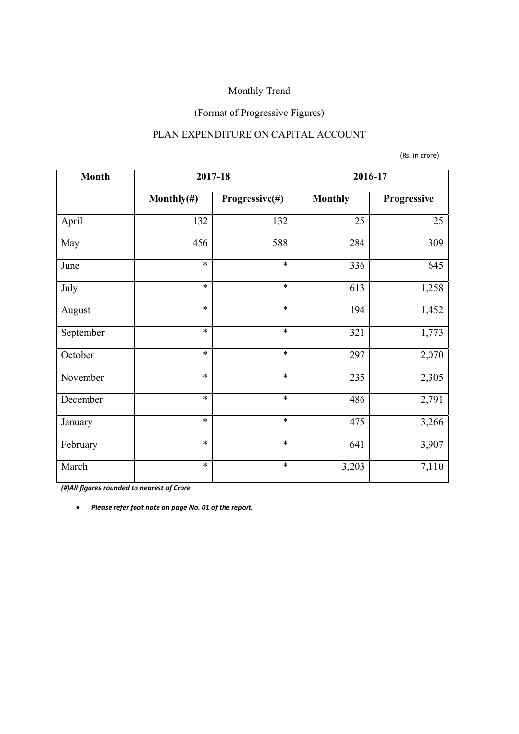## (Format of Progressive Figures)

### PLAN EXPENDITURE ON CAPITAL ACCOUNT

(Rs. in crore)

| <b>Month</b> | 2017-18        |                | 2016-17        |             |
|--------------|----------------|----------------|----------------|-------------|
|              | Monthly $(\#)$ | Progressive(#) | <b>Monthly</b> | Progressive |
| April        | 132            | 132            | 25             | 25          |
| May          | 456            | 588            | 284            | 309         |
| June         | $\ast$         | $\ast$         | 336            | 645         |
| July         | $\ast$         | $\ast$         | 613            | 1,258       |
| August       | $\ast$         | $\ast$         | 194            | 1,452       |
| September    | $\ast$         | $\ast$         | 321            | 1,773       |
| October      | $\ast$         | $\ast$         | 297            | 2,070       |
| November     | $\ast$         | $\ast$         | 235            | 2,305       |
| December     | $\ast$         | $\ast$         | 486            | 2,791       |
| January      | $\ast$         | $\ast$         | 475            | 3,266       |
| February     | $\ast$         | $\ast$         | 641            | 3,907       |
| March        | $\ast$         | $\ast$         | 3,203          | 7,110       |

*(#)All figures rounded to nearest of Crore*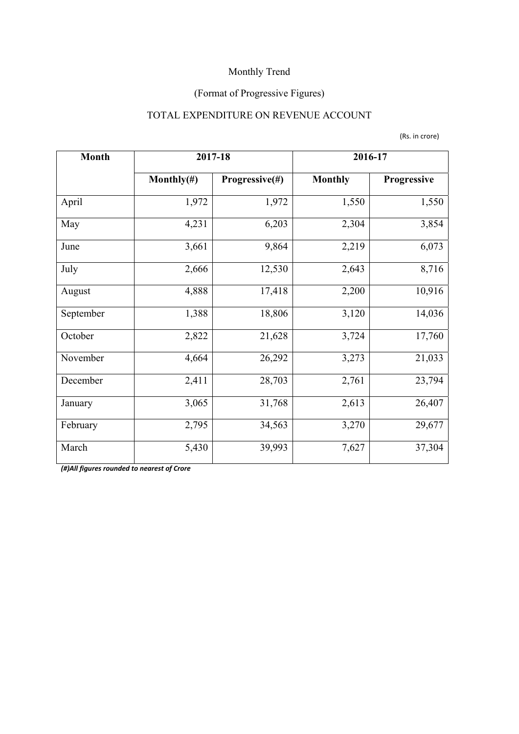## (Format of Progressive Figures)

## TOTAL EXPENDITURE ON REVENUE ACCOUNT

(Rs. in crore)

| <b>Month</b> | 2017-18        |                | 2016-17        |             |
|--------------|----------------|----------------|----------------|-------------|
|              | Monthly $(\#)$ | Progressive(#) | <b>Monthly</b> | Progressive |
| April        | 1,972          | 1,972          | 1,550          | 1,550       |
| May          | 4,231          | 6,203          | 2,304          | 3,854       |
| June         | 3,661          | 9,864          | 2,219          | 6,073       |
| July         | 2,666          | 12,530         | 2,643          | 8,716       |
| August       | 4,888          | 17,418         | 2,200          | 10,916      |
| September    | 1,388          | 18,806         | 3,120          | 14,036      |
| October      | 2,822          | 21,628         | 3,724          | 17,760      |
| November     | 4,664          | 26,292         | 3,273          | 21,033      |
| December     | 2,411          | 28,703         | 2,761          | 23,794      |
| January      | 3,065          | 31,768         | 2,613          | 26,407      |
| February     | 2,795          | 34,563         | 3,270          | 29,677      |
| March        | 5,430          | 39,993         | 7,627          | 37,304      |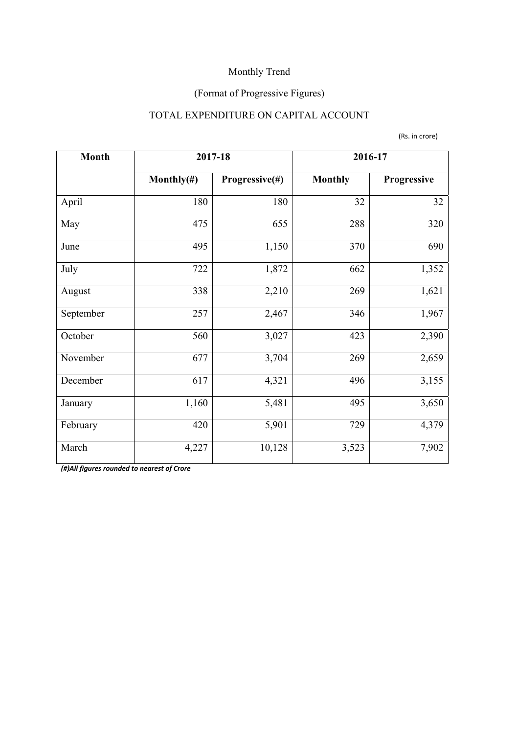## (Format of Progressive Figures)

## TOTAL EXPENDITURE ON CAPITAL ACCOUNT

(Rs. in crore)

| <b>Month</b> | 2017-18        |                | 2016-17        |             |  |
|--------------|----------------|----------------|----------------|-------------|--|
|              | Monthly $(\#)$ | Progressive(#) | <b>Monthly</b> | Progressive |  |
| April        | 180            | 180            | 32             | 32          |  |
| May          | 475            | 655            | 288            | 320         |  |
| June         | 495            | 1,150          | 370            | 690         |  |
| July         | 722            | 1,872          | 662            | 1,352       |  |
| August       | 338            | 2,210          | 269            | 1,621       |  |
| September    | 257            | 2,467          | 346            | 1,967       |  |
| October      | 560            | 3,027          | 423            | 2,390       |  |
| November     | 677            | 3,704          | 269            | 2,659       |  |
| December     | 617            | 4,321          | 496            | 3,155       |  |
| January      | 1,160          | 5,481          | 495            | 3,650       |  |
| February     | 420            | 5,901          | 729            | 4,379       |  |
| March        | 4,227          | 10,128         | 3,523          | 7,902       |  |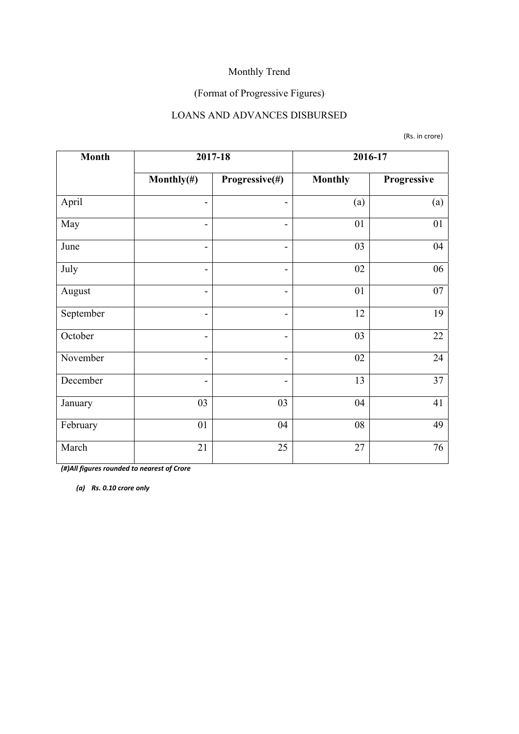## (Format of Progressive Figures)

### LOANS AND ADVANCES DISBURSED

(Rs. in crore)

| <b>Month</b> | 2017-18                  |                              | 2016-17        |             |  |
|--------------|--------------------------|------------------------------|----------------|-------------|--|
|              | Monthly $(\#)$           | Progressive(#)               | <b>Monthly</b> | Progressive |  |
| April        | $\overline{\phantom{a}}$ |                              | (a)            | (a)         |  |
| May          | $\overline{\phantom{a}}$ | $\overline{\phantom{0}}$     | 01             | 01          |  |
| June         | $\overline{\phantom{a}}$ | $\qquad \qquad \blacksquare$ | 03             | 04          |  |
| July         | $\overline{\phantom{a}}$ | $\overline{\phantom{0}}$     | 02             | 06          |  |
| August       | $\qquad \qquad$          | $\qquad \qquad \blacksquare$ | 01             | 07          |  |
| September    | $\overline{\phantom{a}}$ | $\overline{\phantom{0}}$     | 12             | 19          |  |
| October      | $\overline{\phantom{a}}$ | $\qquad \qquad \blacksquare$ | 03             | 22          |  |
| November     | $\overline{\phantom{a}}$ | $\overline{\phantom{0}}$     | 02             | 24          |  |
| December     | $\overline{\phantom{0}}$ | $\overline{\phantom{0}}$     | 13             | 37          |  |
| January      | 03                       | 03                           | 04             | 41          |  |
| February     | 01                       | 04                           | 08             | 49          |  |
| March        | 21                       | 25                           | 27             | 76          |  |

*(#)All figures rounded to nearest of Crore*

*(a) Rs. 0.10 crore only*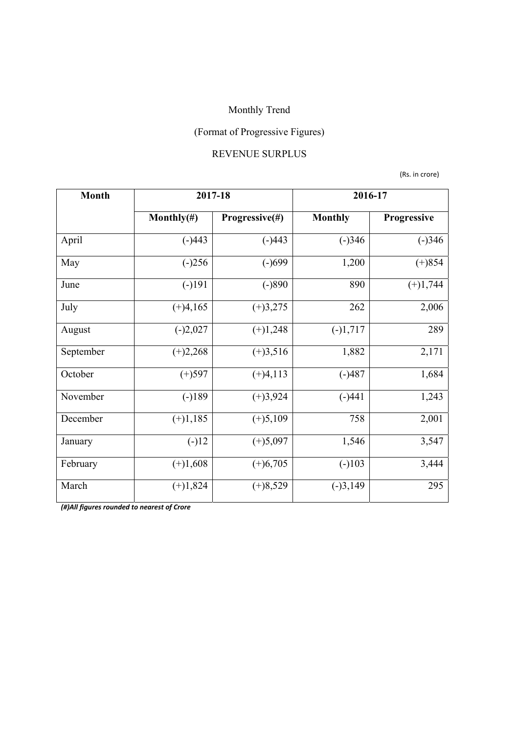# (Format of Progressive Figures)

### REVENUE SURPLUS

(Rs. in crore)

| <b>Month</b> | 2017-18        |                | 2016-17        |             |  |
|--------------|----------------|----------------|----------------|-------------|--|
|              | Monthly $(\#)$ | Progressive(#) | <b>Monthly</b> | Progressive |  |
| April        | $(-)443$       | $(-)443$       | $(-)346$       | $(-)346$    |  |
| May          | $(-)256$       | $(-)699$       | 1,200          | $(+)854$    |  |
| June         | $(-)191$       | $(-)890$       | 890            | $(+)1,744$  |  |
| July         | $(+)4,165$     | $(+)3,275$     | 262            | 2,006       |  |
| August       | $(-)2,027$     | $(+)1,248$     | $(-)1,717$     | 289         |  |
| September    | $(+)2,268$     | $(+)3,516$     | 1,882          | 2,171       |  |
| October      | $(+)597$       | $(+)4,113$     | $(-)487$       | 1,684       |  |
| November     | $(-)189$       | $(+)3,924$     | $(-)441$       | 1,243       |  |
| December     | $(+)1,185$     | $(+)5,109$     | 758            | 2,001       |  |
| January      | $(-)12$        | $(+)5,097$     | 1,546          | 3,547       |  |
| February     | $(+)1,608$     | $(+)6,705$     | $(-)103$       | 3,444       |  |
| March        | $(+)1,824$     | $(+)8,529$     | $(-)3,149$     | 295         |  |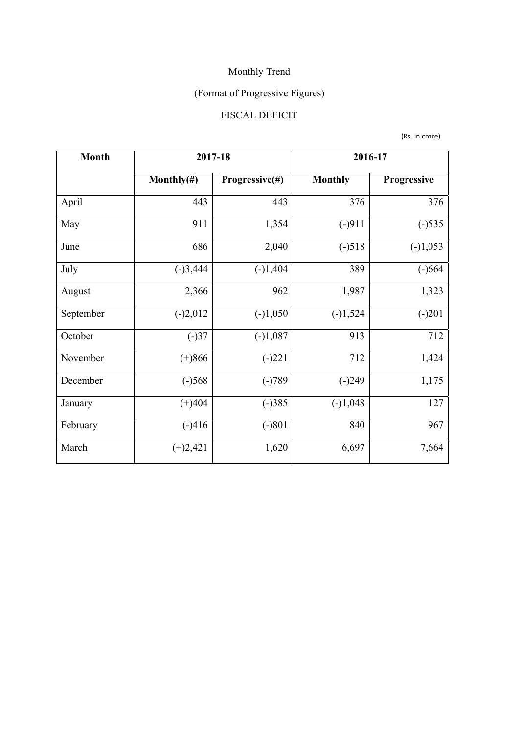# (Format of Progressive Figures)

## FISCAL DEFICIT

(Rs. in crore)

| <b>Month</b> | 2017-18        |                | 2016-17        |                    |  |
|--------------|----------------|----------------|----------------|--------------------|--|
|              | Monthly $(\#)$ | Progressive(#) | <b>Monthly</b> | <b>Progressive</b> |  |
| April        | 443            | 443            | 376            | 376                |  |
| May          | 911            |                | $(-)911$       | $(-)535$           |  |
| June         | 686            | 2,040          | $(-)518$       | $(-)1,053$         |  |
| July         | $(-)3,444$     | $(-)1,404$     | 389            | $(-)664$           |  |
| August       | 2,366          | 962            | 1,987          | 1,323              |  |
| September    | $(-)2,012$     | $(-)1,050$     | $(-)1,524$     | $(-)201$           |  |
| October      | $(-)37$        | $(-)1,087$     | 913            | 712                |  |
| November     | $(+)866$       | $(-)221$       | 712            | 1,424              |  |
| December     | $(-)568$       | $(-)789$       | $(-)249$       | 1,175              |  |
| January      | $(+)404$       | $(-)385$       | $(-)1,048$     | 127                |  |
| February     | $(-)416$       | $(-)801$       | 840            | 967                |  |
| March        | $(+)2,421$     | 1,620          | 6,697          | 7,664              |  |